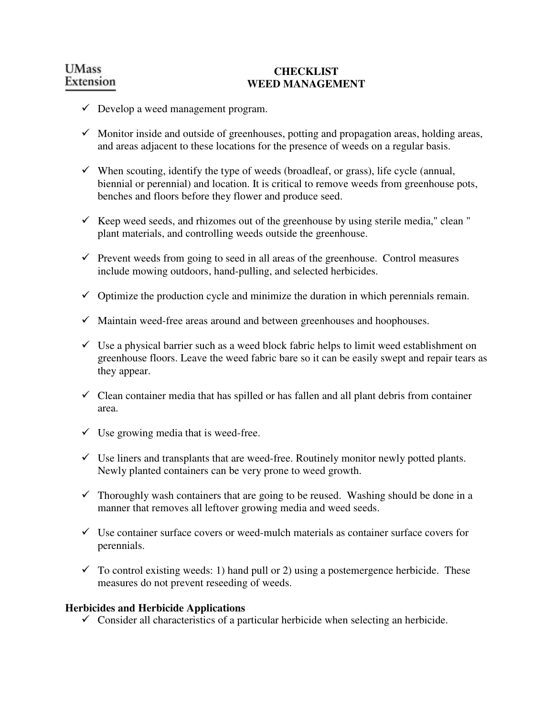## **CHECKLIST WEED MANAGEMENT**

- $\checkmark$  Develop a weed management program.
- $\checkmark$  Monitor inside and outside of greenhouses, potting and propagation areas, holding areas, and areas adjacent to these locations for the presence of weeds on a regular basis.
- $\checkmark$  When scouting, identify the type of weeds (broadleaf, or grass), life cycle (annual, biennial or perennial) and location. It is critical to remove weeds from greenhouse pots, benches and floors before they flower and produce seed.
- $\checkmark$  Keep weed seeds, and rhizomes out of the greenhouse by using sterile media," clean " plant materials, and controlling weeds outside the greenhouse.
- $\checkmark$  Prevent weeds from going to seed in all areas of the greenhouse. Control measures include mowing outdoors, hand-pulling, and selected herbicides.
- $\checkmark$  Optimize the production cycle and minimize the duration in which perennials remain.
- $\checkmark$  Maintain weed-free areas around and between greenhouses and hoophouses.
- $\checkmark$  Use a physical barrier such as a weed block fabric helps to limit weed establishment on greenhouse floors. Leave the weed fabric bare so it can be easily swept and repair tears as they appear.
- $\checkmark$  Clean container media that has spilled or has fallen and all plant debris from container area.
- $\checkmark$  Use growing media that is weed-free.
- $\checkmark$  Use liners and transplants that are weed-free. Routinely monitor newly potted plants. Newly planted containers can be very prone to weed growth.
- $\checkmark$  Thoroughly wash containers that are going to be reused. Washing should be done in a manner that removes all leftover growing media and weed seeds.
- $\checkmark$  Use container surface covers or weed-mulch materials as container surface covers for perennials.
- $\checkmark$  To control existing weeds: 1) hand pull or 2) using a postemergence herbicide. These measures do not prevent reseeding of weeds.

### **Herbicides and Herbicide Applications**

 $\checkmark$  Consider all characteristics of a particular herbicide when selecting an herbicide.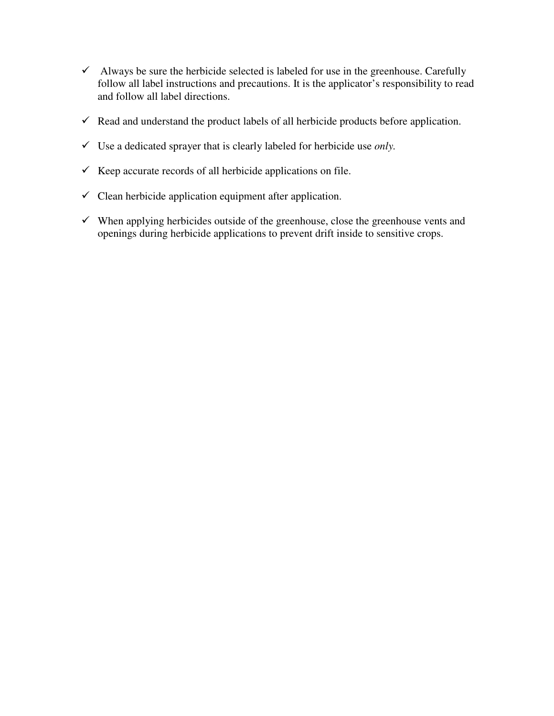- $\checkmark$  Always be sure the herbicide selected is labeled for use in the greenhouse. Carefully follow all label instructions and precautions. It is the applicator's responsibility to read and follow all label directions.
- $\checkmark$  Read and understand the product labels of all herbicide products before application.
- Use a dedicated sprayer that is clearly labeled for herbicide use *only.*
- $\checkmark$  Keep accurate records of all herbicide applications on file.
- $\checkmark$  Clean herbicide application equipment after application.
- $\checkmark$  When applying herbicides outside of the greenhouse, close the greenhouse vents and openings during herbicide applications to prevent drift inside to sensitive crops.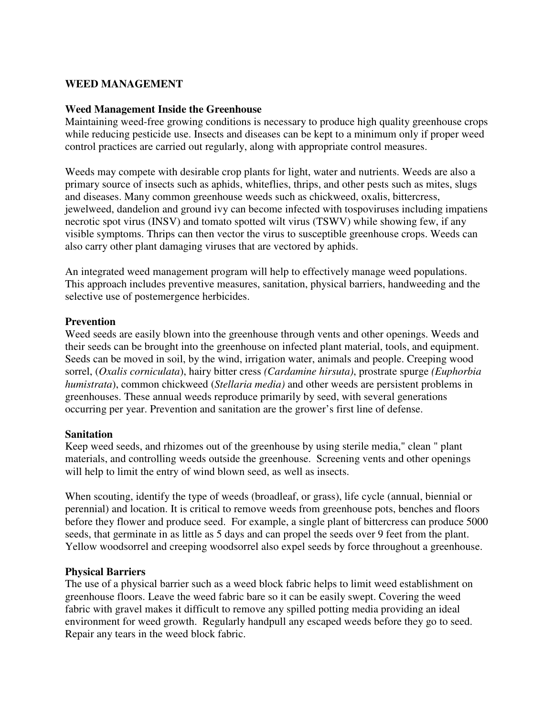### **WEED MANAGEMENT**

#### **Weed Management Inside the Greenhouse**

Maintaining weed-free growing conditions is necessary to produce high quality greenhouse crops while reducing pesticide use. Insects and diseases can be kept to a minimum only if proper weed control practices are carried out regularly, along with appropriate control measures.

Weeds may compete with desirable crop plants for light, water and nutrients. Weeds are also a primary source of insects such as aphids, whiteflies, thrips, and other pests such as mites, slugs and diseases. Many common greenhouse weeds such as chickweed, oxalis, bittercress, jewelweed, dandelion and ground ivy can become infected with tospoviruses including impatiens necrotic spot virus (INSV) and tomato spotted wilt virus (TSWV) while showing few, if any visible symptoms. Thrips can then vector the virus to susceptible greenhouse crops. Weeds can also carry other plant damaging viruses that are vectored by aphids.

An integrated weed management program will help to effectively manage weed populations. This approach includes preventive measures, sanitation, physical barriers, handweeding and the selective use of postemergence herbicides.

### **Prevention**

Weed seeds are easily blown into the greenhouse through vents and other openings. Weeds and their seeds can be brought into the greenhouse on infected plant material, tools, and equipment. Seeds can be moved in soil, by the wind, irrigation water, animals and people. Creeping wood sorrel, (*Oxalis corniculata*), hairy bitter cress *(Cardamine hirsuta)*, prostrate spurge *(Euphorbia humistrata*), common chickweed (*Stellaria media)* and other weeds are persistent problems in greenhouses. These annual weeds reproduce primarily by seed, with several generations occurring per year. Prevention and sanitation are the grower's first line of defense.

### **Sanitation**

Keep weed seeds, and rhizomes out of the greenhouse by using sterile media," clean " plant materials, and controlling weeds outside the greenhouse. Screening vents and other openings will help to limit the entry of wind blown seed, as well as insects.

When scouting, identify the type of weeds (broadleaf, or grass), life cycle (annual, biennial or perennial) and location. It is critical to remove weeds from greenhouse pots, benches and floors before they flower and produce seed. For example, a single plant of bittercress can produce 5000 seeds, that germinate in as little as 5 days and can propel the seeds over 9 feet from the plant. Yellow woodsorrel and creeping woodsorrel also expel seeds by force throughout a greenhouse.

### **Physical Barriers**

The use of a physical barrier such as a weed block fabric helps to limit weed establishment on greenhouse floors. Leave the weed fabric bare so it can be easily swept. Covering the weed fabric with gravel makes it difficult to remove any spilled potting media providing an ideal environment for weed growth. Regularly handpull any escaped weeds before they go to seed. Repair any tears in the weed block fabric.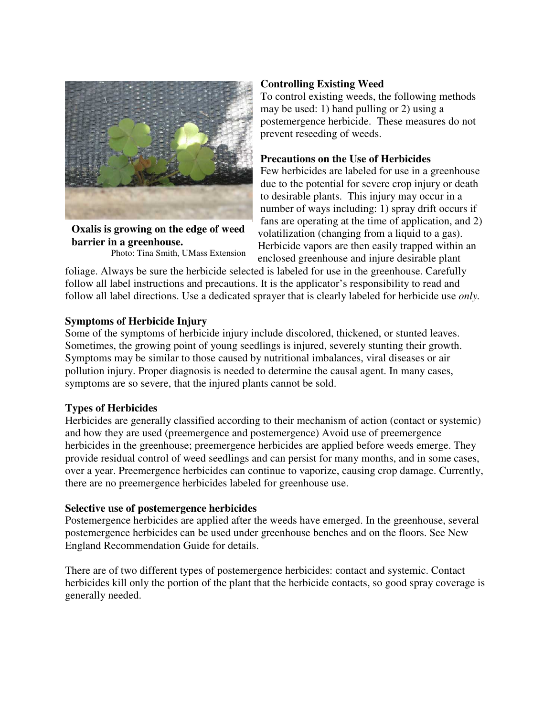

**Oxalis is growing on the edge of weed barrier in a greenhouse.** 

Photo: Tina Smith, UMass Extension

## **Controlling Existing Weed**

To control existing weeds, the following methods may be used: 1) hand pulling or 2) using a postemergence herbicide. These measures do not prevent reseeding of weeds.

## **Precautions on the Use of Herbicides**

Few herbicides are labeled for use in a greenhouse due to the potential for severe crop injury or death to desirable plants. This injury may occur in a number of ways including: 1) spray drift occurs if fans are operating at the time of application, and 2) volatilization (changing from a liquid to a gas). Herbicide vapors are then easily trapped within an enclosed greenhouse and injure desirable plant

foliage. Always be sure the herbicide selected is labeled for use in the greenhouse. Carefully follow all label instructions and precautions. It is the applicator's responsibility to read and follow all label directions. Use a dedicated sprayer that is clearly labeled for herbicide use *only.* 

## **Symptoms of Herbicide Injury**

Some of the symptoms of herbicide injury include discolored, thickened, or stunted leaves. Sometimes, the growing point of young seedlings is injured, severely stunting their growth. Symptoms may be similar to those caused by nutritional imbalances, viral diseases or air pollution injury. Proper diagnosis is needed to determine the causal agent. In many cases, symptoms are so severe, that the injured plants cannot be sold.

### **Types of Herbicides**

Herbicides are generally classified according to their mechanism of action (contact or systemic) and how they are used (preemergence and postemergence) Avoid use of preemergence herbicides in the greenhouse; preemergence herbicides are applied before weeds emerge. They provide residual control of weed seedlings and can persist for many months, and in some cases, over a year. Preemergence herbicides can continue to vaporize, causing crop damage. Currently, there are no preemergence herbicides labeled for greenhouse use.

### **Selective use of postemergence herbicides**

Postemergence herbicides are applied after the weeds have emerged. In the greenhouse, several postemergence herbicides can be used under greenhouse benches and on the floors. See New England Recommendation Guide for details.

There are of two different types of postemergence herbicides: contact and systemic. Contact herbicides kill only the portion of the plant that the herbicide contacts, so good spray coverage is generally needed.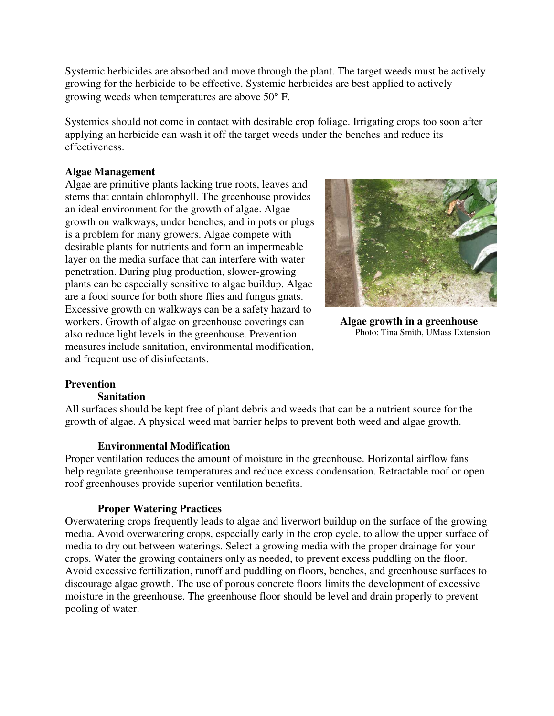Systemic herbicides are absorbed and move through the plant. The target weeds must be actively growing for the herbicide to be effective. Systemic herbicides are best applied to actively growing weeds when temperatures are above 50° F.

Systemics should not come in contact with desirable crop foliage. Irrigating crops too soon after applying an herbicide can wash it off the target weeds under the benches and reduce its effectiveness.

## **Algae Management**

Algae are primitive plants lacking true roots, leaves and stems that contain chlorophyll. The greenhouse provides an ideal environment for the growth of algae. Algae growth on walkways, under benches, and in pots or plugs is a problem for many growers. Algae compete with desirable plants for nutrients and form an impermeable layer on the media surface that can interfere with water penetration. During plug production, slower-growing plants can be especially sensitive to algae buildup. Algae are a food source for both shore flies and fungus gnats. Excessive growth on walkways can be a safety hazard to workers. Growth of algae on greenhouse coverings can also reduce light levels in the greenhouse. Prevention measures include sanitation, environmental modification, and frequent use of disinfectants.



**Algae growth in a greenhouse**  Photo: Tina Smith, UMass Extension

### **Prevention**

### **Sanitation**

All surfaces should be kept free of plant debris and weeds that can be a nutrient source for the growth of algae. A physical weed mat barrier helps to prevent both weed and algae growth.

### **Environmental Modification**

Proper ventilation reduces the amount of moisture in the greenhouse. Horizontal airflow fans help regulate greenhouse temperatures and reduce excess condensation. Retractable roof or open roof greenhouses provide superior ventilation benefits.

# **Proper Watering Practices**

Overwatering crops frequently leads to algae and liverwort buildup on the surface of the growing media. Avoid overwatering crops, especially early in the crop cycle, to allow the upper surface of media to dry out between waterings. Select a growing media with the proper drainage for your crops. Water the growing containers only as needed, to prevent excess puddling on the floor. Avoid excessive fertilization, runoff and puddling on floors, benches, and greenhouse surfaces to discourage algae growth. The use of porous concrete floors limits the development of excessive moisture in the greenhouse. The greenhouse floor should be level and drain properly to prevent pooling of water.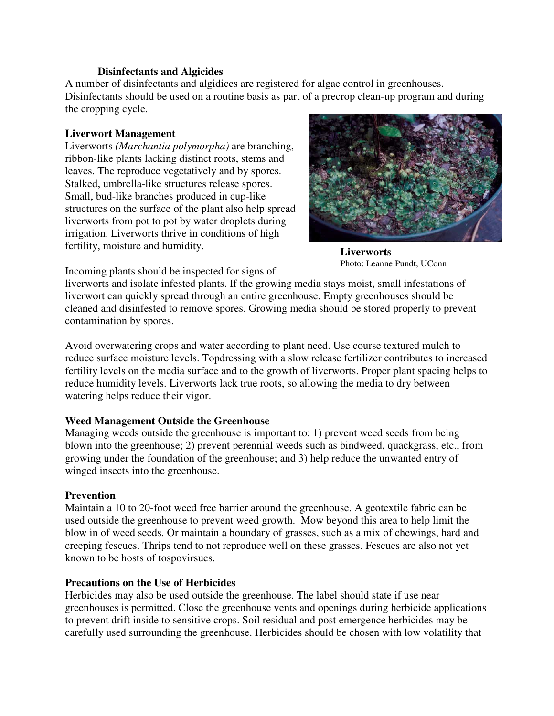#### **Disinfectants and Algicides**

A number of disinfectants and algidices are registered for algae control in greenhouses. Disinfectants should be used on a routine basis as part of a precrop clean-up program and during the cropping cycle.

## **Liverwort Management**

Liverworts *(Marchantia polymorpha)* are branching, ribbon-like plants lacking distinct roots, stems and leaves. The reproduce vegetatively and by spores. Stalked, umbrella-like structures release spores. Small, bud-like branches produced in cup-like structures on the surface of the plant also help spread liverworts from pot to pot by water droplets during irrigation. Liverworts thrive in conditions of high fertility, moisture and humidity.



**Liverworts**  Photo: Leanne Pundt, UConn

Incoming plants should be inspected for signs of

liverworts and isolate infested plants. If the growing media stays moist, small infestations of liverwort can quickly spread through an entire greenhouse. Empty greenhouses should be cleaned and disinfested to remove spores. Growing media should be stored properly to prevent contamination by spores.

Avoid overwatering crops and water according to plant need. Use course textured mulch to reduce surface moisture levels. Topdressing with a slow release fertilizer contributes to increased fertility levels on the media surface and to the growth of liverworts. Proper plant spacing helps to reduce humidity levels. Liverworts lack true roots, so allowing the media to dry between watering helps reduce their vigor.

# **Weed Management Outside the Greenhouse**

Managing weeds outside the greenhouse is important to: 1) prevent weed seeds from being blown into the greenhouse; 2) prevent perennial weeds such as bindweed, quackgrass, etc., from growing under the foundation of the greenhouse; and 3) help reduce the unwanted entry of winged insects into the greenhouse.

# **Prevention**

Maintain a 10 to 20-foot weed free barrier around the greenhouse. A geotextile fabric can be used outside the greenhouse to prevent weed growth. Mow beyond this area to help limit the blow in of weed seeds. Or maintain a boundary of grasses, such as a mix of chewings, hard and creeping fescues. Thrips tend to not reproduce well on these grasses. Fescues are also not yet known to be hosts of tospovirsues.

# **Precautions on the Use of Herbicides**

Herbicides may also be used outside the greenhouse. The label should state if use near greenhouses is permitted. Close the greenhouse vents and openings during herbicide applications to prevent drift inside to sensitive crops. Soil residual and post emergence herbicides may be carefully used surrounding the greenhouse. Herbicides should be chosen with low volatility that